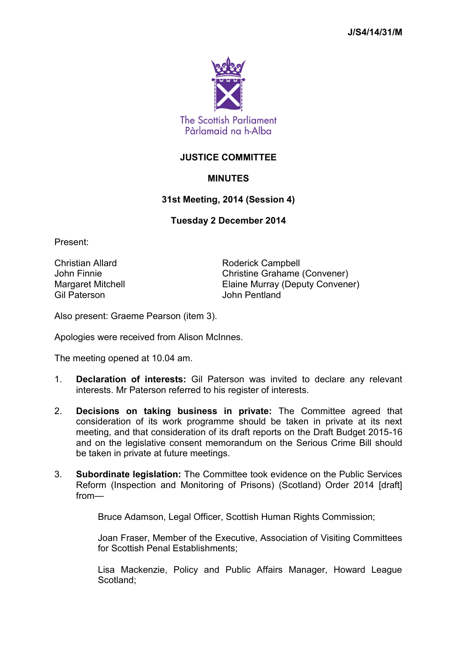

## **JUSTICE COMMITTEE**

## **MINUTES**

## **31st Meeting, 2014 (Session 4)**

## **Tuesday 2 December 2014**

Present:

Gil Paterson John Pentland

Christian Allard **Roderick Campbell** John Finnie Christine Grahame (Convener) Margaret Mitchell Elaine Murray (Deputy Convener)

Also present: Graeme Pearson (item 3).

Apologies were received from Alison McInnes.

The meeting opened at 10.04 am.

- 1. **Declaration of interests:** Gil Paterson was invited to declare any relevant interests. Mr Paterson referred to his register of interests.
- 2. **Decisions on taking business in private:** The Committee agreed that consideration of its work programme should be taken in private at its next meeting, and that consideration of its draft reports on the Draft Budget 2015-16 and on the legislative consent memorandum on the Serious Crime Bill should be taken in private at future meetings.
- 3. **Subordinate legislation:** The Committee took evidence on the Public Services Reform (Inspection and Monitoring of Prisons) (Scotland) Order 2014 [draft] from—

Bruce Adamson, Legal Officer, Scottish Human Rights Commission:

Joan Fraser, Member of the Executive, Association of Visiting Committees for Scottish Penal Establishments;

Lisa Mackenzie, Policy and Public Affairs Manager, Howard League Scotland;